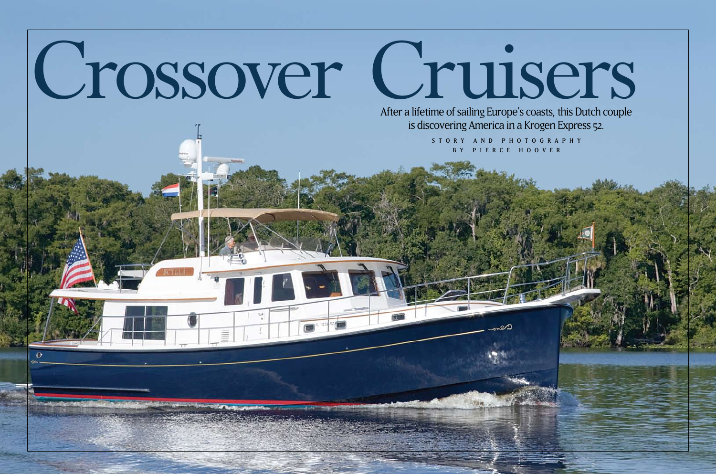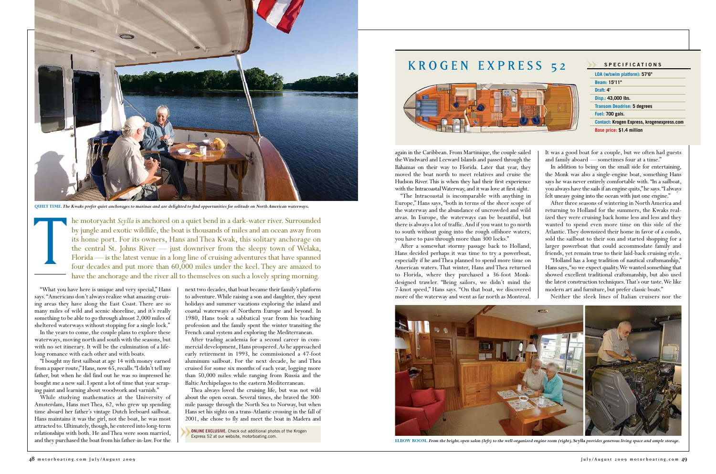"What you have here is unique and very special," Hans says. "Americans don't always realize what amazing cruising areas they have along the East Coast. There are so many miles of wild and scenic shoreline, and it's really something to be able to go through almost 2,000 miles of sheltered waterways without stopping for a single lock."

In the years to come, the couple plans to explore these waterways, moving north and south with the seasons, but with no set itinerary. It will be the culmination of a lifelong romance with each other and with boats.

"I bought my first sailboat at age 14 with money earned from a paper route," Hans, now 65, recalls. "I didn't tell my father, but when he did find out he was so impressed he bought me a new sail. I spent a lot of time that year scraping paint and learning about woodwork and varnish."

While studying mathematics at the University of Amsterdam, Hans met Thea, 62, who grew up spending time aboard her father's vintage Dutch leeboard sailboat. Hans maintains it was the girl, not the boat, he was most attracted to. Ultimately, though, he entered into long-term relationships with both. He and Thea were soon married, and they purchased the boat from his father-in-law. For the next two decades, that boat became their family's platform to adventure. While raising a son and daughter, they spent holidays and summer vacations exploring the inland and coastal waterways of Northern Europe and beyond. In 1980, Hans took a sabbatical year from his teaching profession and the family spent the winter transiting the French canal system and exploring the Mediterranean.

After trading academia for a second career in commercial development, Hans prospered. As he approached early retirement in 1993, he commissioned a 47-foot aluminum sailboat. For the next decade, he and Thea cruised for some six months of each year, logging more than 50,000 miles while ranging from Russia and the Baltic Archipelagos to the eastern Mediterranean.

Thea always loved the cruising life, but was not wild about the open ocean. Several times, she braved the 300 mile passage through the North Sea to Norway, but when Hans set his sights on a trans-Atlantic crossing in the fall of 2001, she chose to fly and meet the boat in Madera and

again in the Caribbean. From Martinique, the couple sailed the Windward and Leeward Islands and passed through the Bahamas on their way to Florida. Later that year, they moved the boat north to meet relatives and cruise the Hudson River. This is when they had their first experience with the Intracoastal Waterway, and it was love at first sight.

"The Intracoastal is incomparable with anything in Europe," Hans says, "both in terms of the sheer scope of the waterway and the abundance of uncrowded and wild areas. In Europe, the waterways can be beautiful, but there is always a lot of traffic. And if you want to go north to south without going into the rough offshore waters, you have to pass through more than 300 locks."

After a somewhat stormy passage back to Holland, Hans decided perhaps it was time to try a powerboat, especially if he and Thea planned to spend more time on American waters. That winter, Hans and Thea returned to Florida, where they purchased a 36-foot Monkdesigned trawler. "Being sailors, we didn't mind the 7-knot speed," Hans says. "On that boat, we discovered more of the waterway and went as far north as Montreal.

It was a good boat for a couple, but we often had guests and family aboard — sometimes four at a time."

In addition to being on the small side for entertaining, the Monk was also a single-engine boat, something Hans says he was never entirely comfortable with. "In a sailboat, you always have the sails if an engine quits," he says. "I always felt uneasy going into the ocean with just one engine."

After three seasons of wintering in North America and returning to Holland for the summers, the Kwaks realized they were cruising back home less and less and they wanted to spend even more time on this side of the Atlantic. They downsized their home in favor of a condo, sold the sailboat to their son and started shopping for a larger powerboat that could accommodate family and friends, yet remain true to their laid-back cruising style. "Holland has a long tradition of nautical craftsmanship," Hans says, "so we expect quality. We wanted something that showed excellent traditional craftsmanship, but also used the latest construction techniques. That's our taste. We like modern art and furniture, but prefer classic boats."

Neither the sleek lines of Italian cruisers nor the

he motoryacht *Scylla* is anchored on a quiet bend in a dark-water river. Surrounded by jungle and exotic wildlife, the boat is thousands of miles and an ocean away from its home port. For its owners, Hans and Thea Kwak, this solitary anchorage on the central St. Johns River — just downriver from the sleepy town of Welaka, Florida — is the latest venue in a long line of cruising adventures that have spanned QUIET TIME. The Kwaks prefer quiet anchorages to marinas and are delighted to find opportunities for solitude on North American waterways.<br>
he motoryacht *Scylla* is anchored on a quiet bend in a dark-water river. Surround have the anchorage and the river all to themselves on such a lovely spring morning.



**elbow room.** *From the bright, open salon (left) to the well-organized engine room (right),* **Scylla** *provides generous living space and ample storage.*



**ONLINE EXCLUSIVE.** Check out additional photos of the Krogen Express 52 at our website, motorboating.com.



**quiet time.** *The Kwaks prefer quiet anchorages to marinas and are delighted to find opportunities for solitude on North American waterways.*